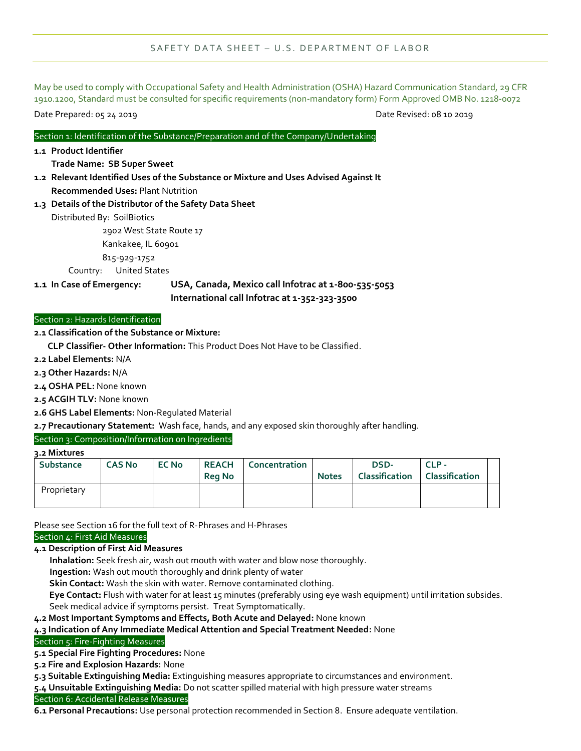### SAFETY DATA SHEET - U.S. DEPARTMENT OF LABOR

May be used to comply with Occupational Safety and Health Administration (OSHA) Hazard Communication Standard, 29 CFR 1910.1200, Standard must be consulted for specific requirements (non-mandatory form) Form Approved OMB No. 1218-0072

Date Prepared: 05 24 2019 Date Revised: 08 10 2019

### Section 1: Identification of the Substance/Preparation and of the Company/Undertaking

**1.1 Product Identifier**

## **Trade Name: SB Super Sweet**

- **1.2 Relevant Identified Uses of the Substance or Mixture and Uses Advised Against It Recommended Uses:** Plant Nutrition
- **1.3 Details of the Distributor of the Safety Data Sheet**

Distributed By: SoilBiotics

2902 West State Route 17

Kankakee, IL 60901

815-929-1752

Country: United States

**1.1 In Case of Emergency: USA, Canada, Mexico call Infotrac at 1-800-535-5053 International call Infotrac at 1-352-323-3500**

### Section 2: Hazards Identification

**2.1 Classification of the Substance or Mixture:**

 **CLP Classifier- Other Information:** This Product Does Not Have to be Classified.

- **2.2 Label Elements:** N/A
- **2.3 Other Hazards:** N/A

**2.4 OSHA PEL:** None known

- **2.5 ACGIH TLV:** None known
- **2.6 GHS Label Elements:** Non-Regulated Material

**2.7 Precautionary Statement:** Wash face, hands, and any exposed skin thoroughly after handling.

## Section 3: Composition/Information on Ingredients

**3.2 Mixtures**

| <b>Substance</b> | <b>CAS No</b> | <b>EC No</b> | <b>Rea No</b> | <b>REACH   Concentration  </b> | <b>Notes</b> | DSD-<br><b>Classification</b> | $CLP -$<br><b>Classification</b> |  |
|------------------|---------------|--------------|---------------|--------------------------------|--------------|-------------------------------|----------------------------------|--|
| Proprietary      |               |              |               |                                |              |                               |                                  |  |

Please see Section 16 for the full text of R-Phrases and H-Phrases

# Section 4: First Aid Measures

**4.1 Description of First Aid Measures**

 **Inhalation:** Seek fresh air, wash out mouth with water and blow nose thoroughly.

 **Ingestion:** Wash out mouth thoroughly and drink plenty of water

**Skin Contact:** Wash the skin with water. Remove contaminated clothing.

 **Eye Contact:** Flush with water for at least 15 minutes (preferably using eye wash equipment) until irritation subsides. Seek medical advice if symptoms persist. Treat Symptomatically.

**4.2 Most Important Symptoms and Effects, Both Acute and Delayed:** None known

## **4.3 Indication of Any Immediate Medical Attention and Special Treatment Needed:** None

### Section 5: Fire-Fighting Measures

**5.1 Special Fire Fighting Procedures:** None

**5.2 Fire and Explosion Hazards:** None

**5.3 Suitable Extinguishing Media:** Extinguishing measures appropriate to circumstances and environment.

**5.4 Unsuitable Extinguishing Media:** Do not scatter spilled material with high pressure water streams Section 6: Accidental Release Measures

**6.1 Personal Precautions:** Use personal protection recommended in Section 8. Ensure adequate ventilation.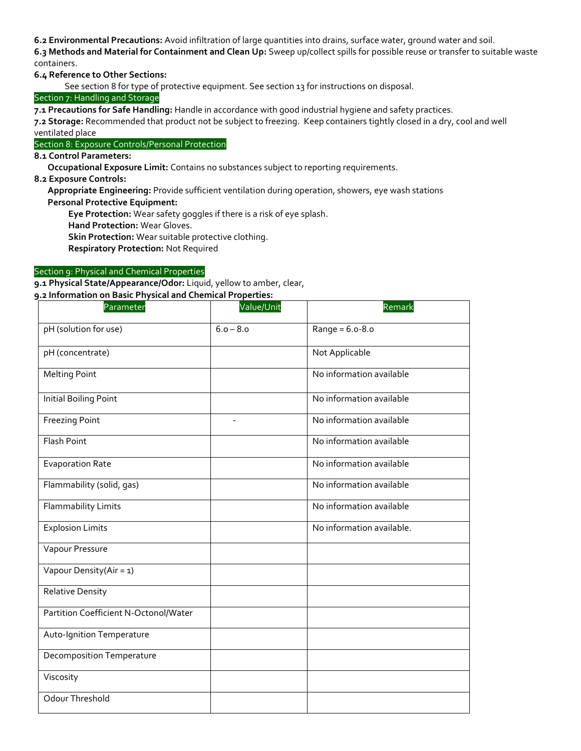**6.2 Environmental Precautions:** Avoid infiltration of large quantities into drains, surface water, ground water and soil.

**6.3 Methods and Material for Containment and Clean Up:** Sweep up/collect spills for possible reuse or transfer to suitable waste containers.

**6.4 Reference to Other Sections:**

See section 8 for type of protective equipment. See section 13 for instructions on disposal.

## Section 7: Handling and Storage

**7.1 Precautions for Safe Handling:** Handle in accordance with good industrial hygiene and safety practices.

**7.2 Storage:** Recommended that product not be subject to freezing. Keep containers tightly closed in a dry, cool and well ventilated place

Section 8: Exposure Controls/Personal Protection

**8.1 Control Parameters:**

 **Occupational Exposure Limit:** Contains no substances subject to reporting requirements.

**8.2 Exposure Controls:**

 **Appropriate Engineering:** Provide sufficient ventilation during operation, showers, eye wash stations

 **Personal Protective Equipment:**

**Eye Protection:** Wear safety goggles if there is a risk of eye splash.

**Hand Protection:** Wear Gloves.

**Skin Protection:** Wear suitable protective clothing.

**Respiratory Protection:** Not Required

## Section 9: Physical and Chemical Properties

**9.1 Physical State/Appearance/Odor:** Liquid, yellow to amber, clear,

#### **9.2 Information on Basic Physical and Chemical Properties:**

| Parameter                             | Value/Unit  | Remark                    |
|---------------------------------------|-------------|---------------------------|
| pH (solution for use)                 | $6.0 - 8.0$ | $Range = 6.0 - 8.0$       |
| pH (concentrate)                      |             | Not Applicable            |
| <b>Melting Point</b>                  |             | No information available  |
| <b>Initial Boiling Point</b>          |             | No information available  |
| <b>Freezing Point</b>                 |             | No information available  |
| <b>Flash Point</b>                    |             | No information available  |
| <b>Evaporation Rate</b>               |             | No information available  |
| Flammability (solid, gas)             |             | No information available  |
| <b>Flammability Limits</b>            |             | No information available  |
| <b>Explosion Limits</b>               |             | No information available. |
| Vapour Pressure                       |             |                           |
| Vapour Density(Air = 1)               |             |                           |
| <b>Relative Density</b>               |             |                           |
| Partition Coefficient N-Octonol/Water |             |                           |
| Auto-Ignition Temperature             |             |                           |
| <b>Decomposition Temperature</b>      |             |                           |
| Viscosity                             |             |                           |
| Odour Threshold                       |             |                           |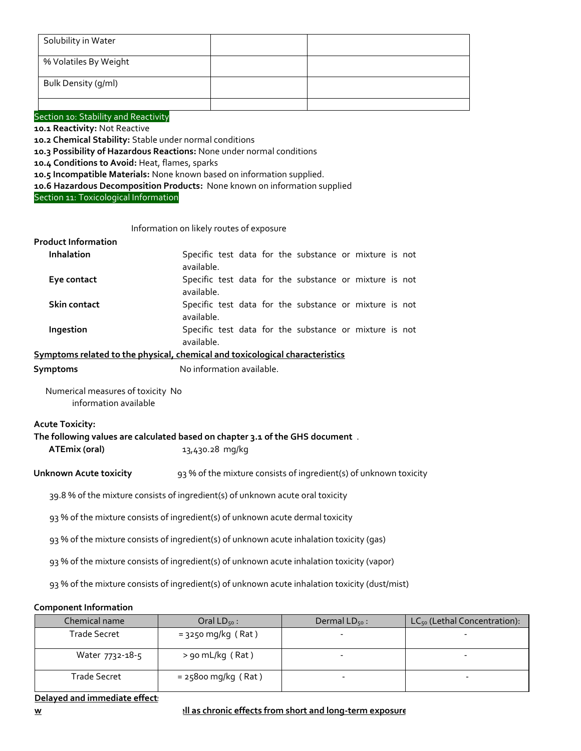| Solubility in Water   |  |
|-----------------------|--|
| % Volatiles By Weight |  |
| Bulk Density (g/ml)   |  |
|                       |  |

Section 10: Stability and Reactivity

**10.1 Reactivity:** Not Reactive

**10.2 Chemical Stability:** Stable under normal conditions

**10.3 Possibility of Hazardous Reactions:** None under normal conditions

**10.4 Conditions to Avoid:** Heat, flames, sparks

**10.5 Incompatible Materials:** None known based on information supplied.

**10.6 Hazardous Decomposition Products:** None known on information supplied

Section 11: Toxicological Information

#### Information on likely routes of exposure

### **Product Information**

| <b>Inhalation</b> | Specific test data for the substance or mixture is not |
|-------------------|--------------------------------------------------------|
|                   | available.                                             |
| Eye contact       | Specific test data for the substance or mixture is not |
|                   | available.                                             |
| Skin contact      | Specific test data for the substance or mixture is not |
|                   | available.                                             |
| Ingestion         | Specific test data for the substance or mixture is not |
|                   | available.                                             |

## **Symptoms related to the physical, chemical and toxicological characteristics**

**Symptoms** No information available.

Numerical measures of toxicity No information available

#### **Acute Toxicity:**

**The following values are calculated based on chapter 3.1 of the GHS document** .

**ATEmix (oral)** 13,430.28 mg/kg

### **Unknown Acute toxicity** 93 % of the mixture consists of ingredient(s) of unknown toxicity

39.8 % of the mixture consists of ingredient(s) of unknown acute oral toxicity

93 % of the mixture consists of ingredient(s) of unknown acute dermal toxicity

93 % of the mixture consists of ingredient(s) of unknown acute inhalation toxicity (gas)

93 % of the mixture consists of ingredient(s) of unknown acute inhalation toxicity (vapor)

93 % of the mixture consists of ingredient(s) of unknown acute inhalation toxicity (dust/mist)

#### **Component Information**

| Chemical name   | Oral $LD_{50}$ :      | Dermal $LD_{50}$ : | $LC_{50}$ (Lethal Concentration): |
|-----------------|-----------------------|--------------------|-----------------------------------|
| Trade Secret    | $=$ 3250 mg/kg (Rat)  |                    |                                   |
| Water 7732-18-5 | > 90 mL/kg (Rat)      |                    |                                   |
| Trade Secret    | $= 25800$ mg/kg (Rat) |                    | $\overline{\phantom{0}}$          |

## **Delayed and immediate effect:**

**w ell as chronic effects from short and long-term exposure**